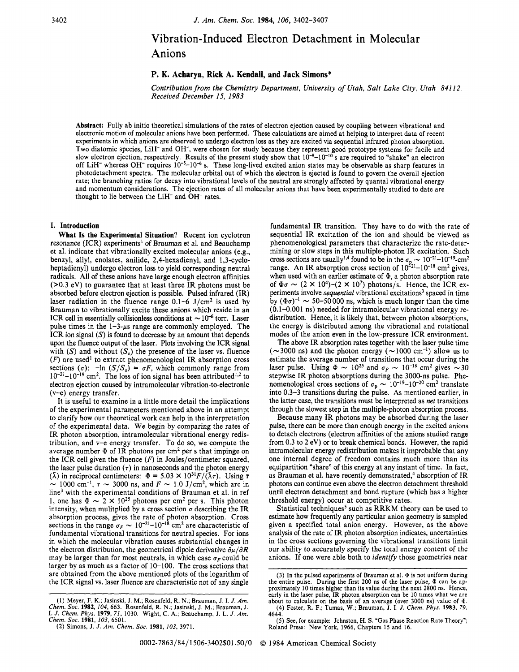## Vibration-Induced Electron Detachment in Molecular Anions

### **P. K. Acharya, Rick A. Kendall, and Jack Simons\***

*Contribution from the Chemistry Department, University of Utah, Salt Lake City, Utah 841 12. Received December 15. 1983* 

**Abstract:** Fully ab initio theoretical simulations of the rates of electron ejection caused by coupling between vibrational and electronic motion of molecular anions have been performed. These calculations are aimed at helping to interpret data of recent experiments in which anions are observed to undergo electron loss as they are excited via sequential infrared photon absorption. Two diatomic species, LiH- and OH-, were chosen for study because they represent good prototype systems for facile and slow electron ejection, respectively. Results of the present study show that 10-9-10-'0 **s** are required to "shake" an electron off LiH- whereas OH- requires 10-5-10" **s.** These long-lived excited anion states may be observable as sharp features in photodetachment spectra. The molecular orbital out of which the electron is ejected is found to govern the overall ejection rate; the branching ratios for decay into vibrational levels of the neutral are strongly affected by quantal vibrational energy and momentum considerations. The ejection rates of all molecular anions that have been experimentally studied to date are thought to lie between the LiH<sup>-</sup> and OH<sup>-</sup> rates.

#### **I. Introduction**

**What Is the Experimental Situation?** Recent ion cyclotron resonance (ICR) experiments' of Brauman et al. and Beauchamp et al. indicate that vibrationally excited molecular anions (e.g., benzyl, allyl, enolates, anilide, 2,4-hexadienyl, and 1,3-cycloheptadienyl) undergo electron loss to yield corresponding neutral radicals. All of these anions have large enough electron affinities (>0.3 eV) to guarantee that at least three IR photons must be absorbed before electron ejection is possible. Pulsed infrared (IR) laser radiation in the fluence range  $0.1-6$  J/cm<sup>2</sup> is used by Brauman to vibrationally excite these anions which reside in an ICR cell in essentially collisionless conditions at  $\sim 10^{-6}$  torr. Laser pulse times in the  $1-3-\mu s$  range are commonly employed. The ICR ion signal *(S)* is found to decrease by an amount that depends upon the fluence output of the laser. Plots involving the ICR signal with *(S)* and without  $(S_0)$  the presence of the laser vs. fluence *(F)* are used' to extract phenomenological IR absorption cross sections  $(\sigma)$ :  $-\text{ln}(S/S_0) = \sigma F$ , which commonly range from  $10^{-21}$ -10<sup>-19</sup> cm<sup>2</sup>. The loss of ion signal has been attributed<sup>1,2</sup> to electron ejection caused by intramolecular vibration-to-electronic (v-e) energy transfer.

It is useful to examine in a little more detail the implications of the experimental parameters mentioned above in an attempt to clarify how our theoretical work can help in the interpretation of the experimental data. We begin by comparing the rates of IR photon absorption, intramolecular vibrational energy redistribution, and v-e energy transfer. To do so, we compute the average number **9** of IR photons per cm2 per **s** that impinge on the ICR cell given the fluence  $(F)$  in Joules/centimeter squared, the laser pulse duration  $(τ)$  in nanoseconds and the photon energy the laser pulse duration ( $\tau$ ) in nanoseconds and the photon energy ( $\lambda$ ) in reciprocal centimeters:  $\Phi = 5.03 \times 10^{31} F/(\lambda \tau)$ . Using  $\bar{\tau}$  1000 cm<sup>-1</sup>,  $\tau \sim 3000$  ns, and  $F \sim 1.0$  J/cm<sup>2</sup>, which are in line<sup>3</sup> with the experimental conditions of Brauman et al. in ref ~ 1000 cm<sup>-1</sup>,  $\tau$  ~ 3000 ns, and  $F$  ~ 1.0 J/cm<sup>2</sup>, which are in line<sup>3</sup> with the experimental conditions of Brauman et al. in ref 1, one has  $\Phi$  ~ 2 × 10<sup>25</sup> photons per cm<sup>2</sup> per s. This photon intensity, when mulitplied by a cross section  $\sigma$  describing the IR absorption process, gives the rate of photon absorption. Cross sections in the range  $\sigma_F \sim 10^{-21}$ – $10^{-18}$  cm<sup>2</sup> are characteristic of fundamental vibrational transitions for neutral species. For ions in which the molecular vibration causes substantial changes in the electron distribution, the geometrical dipole derivative  $\partial \mu / \partial R$ may be larger than for most neutrals, in which case  $\sigma_F$  could be larger by as much as a factor of 10-100. The cross sections that are obtained from the above mentioned plots of the logarithm of the ICR signal vs. laser fluence are characteristic not of any single

fundamental IR transition. They have to do with the rate of sequential IR excitation of the ion and should be viewed as phenomenological parameters that characterize the rate-determining or slow steps in this multiple-photon IR excitation. Such mining or slow steps in this multiple-photon IR excitation. Such cross sections are usually<sup>1,4</sup> found to be in the  $\sigma_p \sim 10^{-21} - 10^{-19}$ -cm<sup>2</sup> range. An IR absorption cross section of  $10^{-21} - 10^{-18}$  cm<sup>2</sup> gives, when used with an earlier estimate of  $\Phi$ , a photon absorption rate of  $\Phi \sigma \sim (2 \times 10^4)$ - $(2 \times 10^7)$  photons/s. Hence, the ICR experiments involve *sequential* vibrational excitations<sup>3</sup> spaced in time<br>by  $(\Phi \sigma)^{-1} \sim 50{\text -}50\,000$  ns, which is much longer than the time (0.1-0.001 ns) needed for intramolecular vibrational energy redistribution. Hence, it is likely that, between photon absorptions, the energy is distributed among the vibrational and rotational modes of the anion even in the low-pressure ICR environment.

The above IR absorption rates together with the laser pulse time ( $\sim$ 3000 ns) and the photon energy ( $\sim$ 1000 cm<sup>-1</sup>) allow us to estimate the average number of transitions that occur during the laser pulse. Using  $\Phi \sim 10^{25}$  and  $\sigma_F \sim 10^{-18}$  cm<sup>2</sup> gives  $\sim 30$ stepwise IR photon absorptions during the 3000-ns pulse. Phe-<br>nomenological cross sections of  $\sigma_p \sim 10^{-19} - 10^{-20}$  cm<sup>2</sup> translate into 0.3-3 transitions during the pulse. As mentioned earlier, in the latter case, the transitions must be interpreted as *net* transitions through the slowest step in the multiple-photon absorption process.

Because many IR photons may be absorbed during the laser pulse, there can be more than enough energy in the excited anions to detach electrons (electron affinities of the anions studied range from 0.3 to 2 eV) or to break chemical bonds. However, the rapid intramolecular energy redistribution makes it improbable that any one internal degree of freedom contains much more than its equipartition "share" of this energy at any instant of time. In fact, as Brauman et al. have recently demonstrated,<sup>4</sup> absorption of IR photons can continue even above the electron detachment threshold until electron detachment and bond rupture (which has a higher threshold energy) occur at competitive rates.

Statistical techniques<sup>5</sup> such as RRKM theory can be used to estimate how frequently any particular anion geometry is sampled given a specified total anion energy. However, as the above analysis of the rate of IR photon absorption indicates, uncertainties in the cross sections governing the vibrational transitions limit our ability to accurately specify the total energy content of the anions. If one were able both to *identify* those geometries near

<sup>(1)</sup> Meyer, F. K.; Jasinski, J. M.; Rosenfeld, R. N.; Brauman, J. **I.** *J. Am.*  Chem. Soc. 1982, 104, 663. Rosenfeld, R. N.; Jasinski, J. M.; Brauman, J. I. J. Chem. Phys. 1979, 71, 1030. Wight, C. A.; Beauchamp, J. L. J. Am. *Chem. SOC.* **1981,** *103,* **6501.** 

**<sup>(2)</sup>** Simons, J. *J. Am. Chem. SOC.* **1981,** *103,* **3971.** 

<sup>(3)</sup> In the pulsed experiments of Brauman et al.  $\Phi$  is not uniform during the entire pulse. During the first 200 ns of the laser pulse,  $\Phi$  can be approximately 10 times higher than its value during the next 2800 ns. Hence, early in the laser pulse, IR photon absorption can be 10 times what we are<br>about to calculate on the basis of an average (over 3000 ns) value of  $\Phi$ .<br>(4) Foster, R. F.; Tumas, W.; Brauman, J. I. J. Chem. Phys. 1983, 79, **4644.** 

**<sup>(5)</sup> See,** for example: Johnston, H. *S.* "Gas Phase Reaction Rate Theory"; Roland Press: New York, **1966,** Chapters **15** and **16.**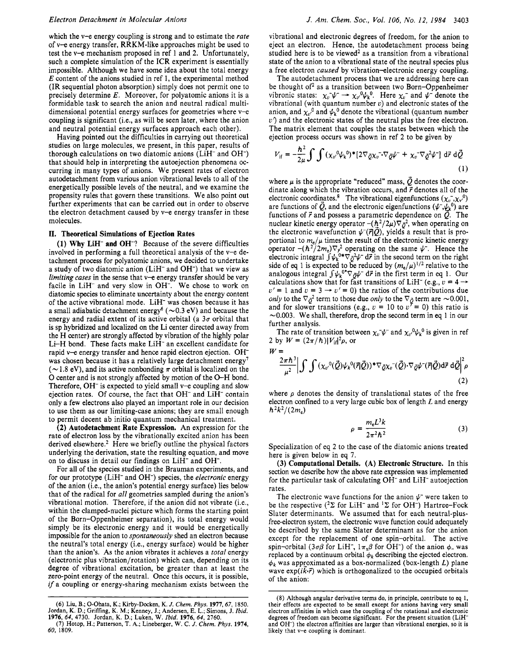which the v-e energy coupling is strong and to estimate the *rate*  of v-e energy transfer, RRKM-like approaches might be used to test the v-e mechanism proposed in ref 1 and 2. Unfortunately, such a complete simulation of the ICR experiment is essentially impossible. Although we have some idea about the total energy *E* content of the anions studied in ref 1, the experimental method (IR sequential photon absorption) simply does not permit one to precisely determine *E.* Moreover, for polyatomic anions it is a formidable task to search the anion and neutral radical multidimensional potential energy surfaces for geometries where v-e coupling is significant (i.e., as will be seen later, where the anion and neutral potential energy surfaces approach each other).

Having pointed out the difficulties in carrying out theoretical studies on large molecules, we present, in this paper, results of thorough calculations on two diatomic anions  $(LiH<sup>-</sup>$  and  $OH<sup>-</sup>)$ that should help in interpreting the autoejection phenomena occurring in many types of anions. We present rates of electron autodetachment from various anion vibrational levels to all of the energetically possible levels of the neutral, and we examine the propensity rules that govern these transitions. We also point out further experiments that can be carried out in order to observe the electron detachment caused by v-e energy transfer in these molecules.

#### **11.** Theoretical Simulations **of** Ejection Rates

**(1) Why** LiH- and OH-? Because of the severe difficulties involved in performing a full theoretical analysis of the v-e detachment process for polyatomic anions, we decided to undertake a study of two diatomic anion (LiH<sup>-</sup> and OH<sup>-</sup>) that we view as limiting *cases* in the sense that v-e energy transfer should be very facile in LiH<sup>-</sup> and very slow in OH<sup>-</sup>. We chose to work on diatomic species to eliminate uncertainty about the energy content of the active vibrational mode. LiH- was chosen because it has a small adiabatic detachment energy<sup>6</sup> ( $\sim$ 0.3 eV) and because the energy and radial extent of its active orbital (a  $3\sigma$  orbital that is sp hybridized and localized on the Li center directed away from the H center) are strongly affected by vibration of the highly polar Li-H bond. These facts make LiH- an excellent candidate for rapid v-e energy transfer and hence rapid electron ejection. OH<sup>-</sup> was chosen because it has a relatively large detachment energy<sup>7</sup> ( $\sim$ 1.8 eV), and its active nonbonding  $\pi$  orbital is localized on the 0 center and is not strongly affected by motion of the 0-H bond. Therefore,  $OH^-$  is expected to yield small v-e coupling and slow ejection rates. Of course, the fact that OH<sup>-</sup> and LiH<sup>-</sup> contain only a few electrons also played an important role in our decision to use them as our limiting-case anions; they are small enough to permit decent ab initio quantum mechanical treatment.

**(2)** Autodetachment Rate Expression. An expression for the rate of electron **loss** by the vibrationally excited anion has been derived elsewhere.<sup>2</sup> Here we briefly outline the physical factors underlying the derivation, state the resulting equation, and move on to discuss in detail our findings on LiH- and OH-.

For all of the species studied in the Brauman experiments, and for our prototype (LiH- and OH-) species, the *electronic* energy of the anion (i.e., the anion's potential energy surface) lies below that of the radical for *all* geometries sampled during the anion's vibrational motion. Therefore, if the anion did not vibrate (i.e., within the clamped-nuclei picture which forms the starting point of the Born-Oppenheimer separation), its total energy would simply be its electronic energy and it would be energetically impossible for the anion to *spontaneously* shed an electron because the neutral's total energy (i.e., energy surface) would be higher than the anion's. As the anion vibrates it achieves a *total* energy (electronic plus vibration/rotation) which can, depending on its degree of vibrational excitation, be greater than at least the zero-point energy of the neutral. Once this occurs, it is possible, *if* a coupling or energy-sharing mechanism exists between the vibrational and electronic degrees of freedom, for the anion to eject an electron. Hence, the autodetachment process being studied here is to be viewed<sup>2</sup> as a transition from a vibrational state of the anion to a vibrational state of the neutral species plus a free electron *caused* by vibration-electronic energy coupling.

The autodetachment process that we are addressing here can be thought of<sup>2</sup> as a transition between two Born-Oppenheimer vibronic states:  $\chi_v \psi \to \chi_{v'}^0 \psi_k^0$ . Here  $\chi_v^-$  and  $\psi^-$  denote the vibrational (with quantum number *u)* and electronic states of the anion, and  $\chi_{v}{}^{0}$  and  $\psi_{k}{}^{0}$  denote the vibrational (quantum number *u')* and the electronic states of the neutral plus the free electron. The matrix element that couples the states between which the ejection process occurs was shown in ref 2 to be given by

$$
V_{\text{if}} = -\frac{\hbar^2}{2\mu} \int \int (\chi_{\nu}^0 \psi_k^0)^* [2\nabla_{\vec{Q}} \chi_{\nu}^-\nabla_{\vec{Q}} \psi^- + \chi_{\nu}^-\nabla_{\vec{Q}}^2 \psi^-] d\vec{r} d\vec{Q}
$$
\n(1)

where  $\mu$  is the appropriate "reduced" mass,  $\overrightarrow{Q}$  denotes the coordinate along which the vibration occurs, and  $\vec{r}$  denotes all of the electronic coordinates.<sup>8</sup> The vibrational eigenfunctions  $(\chi_v^-, \chi_v^0)$  are functions of  $\vec{Q}$ , and the electronic eigenfunctions  $(\psi^-, \psi_k^0)$  are functions of  $\vec{r}$  and possess a parametric dependence on  $\vec{Q}$ . The nuclear kinetic energy operator  $-(\hbar^2/2\mu)\nabla_{\bar{Q}}^2$ , when operating on the electronic wavefunction  $\psi^-(\vec{r}|\mathcal{Q})$ , yields a result that is proportional to  $m_e/\mu$  times the result of the electronic kinetic energy operator  $-(\hbar^2/2m_e)\nabla_{\vec{r}}^2$  operating on the same  $\psi^-$ . Hence the electronic integral  $\int \psi_k^{0*} \nabla \partial^2 \psi^- d\vec{r}$  in the second term on the right side of eq 1 is expected to be reduced by  $(m_e/\mu)^{1/2}$  relative to the analogous integral  $\int \psi_k^{\sigma*} \nabla_{\bar{\sigma}} \psi^- d\vec{r}$  in the first term in eq 1. Our side of eq 1 is expected to be reduced by  $(m_e/\mu)^{1/2}$  relative to the<br>analogous integral  $\int \psi_k^{0*} \nabla g \psi^- d\vec{r}$  in the first term in eq 1. Our<br>calculations show that for fast transitions of LiH<sup>-</sup> (e.g.,  $\nu = 4 \rightarrow$ calculations show that for fast transitions of LiH<sup>-</sup> (e.g.,  $v = 4 \rightarrow v' = 1$  and  $v = 3 \rightarrow v' = 0$ ) the ratios of the contributions due *only* to the  $\nabla_{\tilde{\mathcal{Q}}}^2$  term to those due *only* to the  $\nabla_{\tilde{\mathcal{Q}}}$  term are  $\sim$ 0.001 and for slower transitions (e.g.,  $v = 10$  to  $v^{\tau} = 0$ ) this ratio is  $\sim$  0.003. We shall, therefore, drop the second term in eq 1 in our further analysis.

The rate of transition between  $\chi_v \psi$  and  $\chi_v \psi_k^0$  is given in ref 2 by  $W = (2\pi/h)|V_{\rm i}|^2 \rho$ , or

 $W=$ 

$$
\frac{2\pi\hbar^3}{\mu^2} \Big| \int \int (\chi_{\nu}^0(\vec{Q}) \psi_k^0(\vec{r}|\vec{Q}))^* \nabla_{\vec{Q}} \chi_{\nu}^-(\vec{Q}) \cdot \nabla_{\vec{Q}} \psi^-(\vec{r}|\vec{Q}) d\vec{r} d\vec{Q} \Big|^2 \rho
$$
\n(2)

where  $\rho$  denotes the density of translational states of the free electron confined to a very large cubic box of length *L* and energy  $\hbar^2 k^2/(2m_e)$ 

$$
\rho = \frac{m_e L^3 k}{2\pi^2 \hbar^2} \tag{3}
$$

Specialization of eq 2 to the case of the diatomic anions treated here is given below in eq **7.** 

**(3)** Computational Details. **(A)** Electronic Structure. In this section we describe how the above rate expression was implemented for the particular task of calculating OH<sup>-</sup> and LiH<sup>-</sup> autoejection rates.

The electronic wave functions for the anion  $\psi^-$  were taken to be the respective  $(^{2}\Sigma$  for LiH<sup>-</sup> and <sup>1</sup> $\Sigma$  for OH<sup>-</sup>) Hartree-Fock Slater determinants. We assumed that for each neutral-plusfree-electron system, the electronic wave function could adequately be described by the same Slater determinant as for the anion except for the replacement of one spin-orbital. The active spin-orbital (3 $\sigma\beta$  for LiH<sup>-</sup>,  $1\pi_{\rm x}\beta$  for OH<sup>-</sup>) of the anion  $\phi$ <sub>-</sub> was replaced by a continuum orbital  $\phi_k$  describing the ejected electron.  $\phi_k$  was approximated as a box-normalized (box-length *L*) plane wave  $exp(ik\vec{r})$  which is orthogonalized to the occupied orbitals of the anion:

**<sup>(6)</sup>** Liu, B.; 0-Ohata, K.; Kirby-Docken, K. *J. Cbem. Phys.* **1977.67, 1850.**  Jordan, K. D.; Griffng, K. **M.;** Kenney, J.; Andersen, E. L.; Simons, J. *Ibid.*  **1976, 64, 4730.** Jordan, K. D.; Luken, W. *Ibid.* **1976, 64,** *2760.* 

*<sup>(7)</sup>* Hotop, H.; Patterson, T. A.; Lineberger, W. C. *J. Cbem. Pbys.* **1974, 60,** 1809.

<sup>(8)</sup> Although angular derivative terms do, in principle, contribute to *eq* 1, their effects are expected to be small except for anions having very small electron affinities in which case the coupling of **the** rotational and electronic degrees of freedom can become significant. For the present situation (LiHand OH-) the electron affinities are larger than vibrational energies, **so** it is likely that v-e coupling is dominant.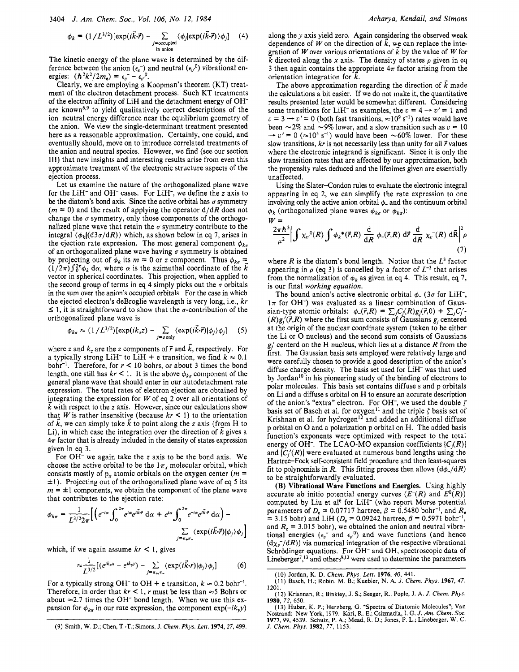$$
\phi_k = (1/L^{3/2})[\exp(i\vec{k}\cdot\vec{r}) - \sum_{j=\text{occupied} \atop \text{in anion}} \langle \phi_j | \exp(i\vec{k}\cdot\vec{r}) \rangle \phi_j] \tag{4}
$$

The kinetic energy of the plane wave is determined by the difference between the anion  $(\epsilon_v^-)$  and neutral  $(\epsilon_v^0)$  vibrational energies:  $(\hbar^2 k^2/2m_e) = \epsilon_v^2 - \epsilon_v^0$ .

Clearly, we are employing a Koopman's theorem (KT) treatment of the electron detachment process. Such KT treatments of the electron affinity of LiH and the detachment energy of OHare known<sup>6,9</sup> to yield qualitatively correct descriptions of the ion-neutral energy difference near the equilibrium geometry of the anion. We view the single-determinant treatment presented here as a reasonable approximation. Certainly, one could, and eventually should, move on to introduce correlated treatments of the anion and neutral species. However, we find (see our section 111) that new insights and interesting results arise from even this approximate treatment of the electronic structure aspects of the ejection process.

Let us examine the nature of the orthogonalized plane wave for the LiH- and OH- cases. For LiH-, we define the *z* axis to be the diatom's bond axis. Since the active orbital has  $\sigma$  symmetry  $(m = 0)$  and the result of applying the operator  $d/dR$  does not change the  $\sigma$  symmetry, only those components of the orthogonalized plane wave that retain the  $\sigma$  symmetry contribute to the integral  $\langle \phi_k | (d3\sigma/dR) \rangle$  which, as shown below in eq 7, arises in the ejection rate expression. The most general component  $\phi_{k_{\sigma}}$ of an orthogonalized plane wave having  $\sigma$  symmetry is obtained by projecting out of  $\phi_k$  its  $m = 0$  or *z* component. Thus  $\phi_{k\sigma} =$  $(1/2\pi)\int_{0}^{2\pi} \phi_{k} d\alpha$ , where  $\alpha$  is the azimuthal coordinate of the k vector in spherical coordinates. This projection, when applied to the second group of terms in eq 4 simply picks out the  $\sigma$  orbitals in the sum over the anion's occupied orbitals. For the case in which the ejected electron's deBroglie wavelength is very long, i.e.,  $kr$  $\leq$  1, it is straightforward to show that the  $\sigma$ -contribution of the orthogonalized plane wave is

$$
\phi_{k\sigma} \approx (1/L^{3/2})\left[\exp(ik_z z) - \sum_{j=\sigma \text{ only}} \langle \exp(i\vec{k}\cdot\vec{r})|\phi_j\rangle \phi_j\right] \quad (5)
$$

where *z* and  $k$ , are the *z* components of  $\vec{r}$  and  $\vec{k}$ , respectively. For a typically strong LiH<sup>-</sup> to LiH + e transition, we find  $k \approx 0.1$ bohr<sup>-1</sup>. Therefore, for  $r < 10$  bohrs, or about 3 times the bond length, one still has  $kr < 1$ . It is the above  $\phi_{k\sigma}$  component of the general plane wave that should enter in our autodetachment rate expression. The total rates of electron ejection are obtained by integrating the expression for  $W$  of eq 2 over all orientations of k with respect to the *z* axis. However, since our calculations show that W is rather insensitive (because  $kr < 1$ ) to the orientation of k, we can simply take k to point along the *z* axis (from H to Li), in which case the integration over the direction of  $k$  gives a  $4\pi$  factor that is already included in the density of states expression given in eq 3.

For OH- we again take the *z* axis to be the bond axis. We choose the active orbital to be the  $1\pi_x$  molecular orbital, which consists mostly of  $p_x$  atomic orbitals on the oxygen center ( $m =$  $\pm$ 1). Projecting out of the orthogonalized plane wave of eq 5 its  $m = \pm 1$  components, we obtain the component of the plane wave that contributes to the ejection rate:

$$
\phi_{k\pi} = \frac{1}{L^{3/2}2\pi} \Big[ \Big( e^{-i\alpha} \int_0^{2\pi} e^{i\alpha} e^{i\vec{k}\cdot\vec{r}} \, \mathrm{d}\alpha + e^{i\alpha} \int_0^{2\pi} e^{-i\alpha} e^{i\vec{k}\cdot\vec{r}} \, \mathrm{d}\alpha \Big) - \frac{\sum\limits_{j=\pi_{+}\pi_{-}} (\exp(i\vec{k}\cdot\vec{r})|\phi_j\rangle \phi_j \Big]}{2\pi \int_0^{2\pi} \exp(i\vec{k}\cdot\vec{r}) |\phi_j\rangle \phi_j}
$$

which, if we again assume  $kr < 1$ , gives

$$
\sum_{L^{3/2}} \left[ \left( e^{ik_x x} - e^{ik_y y} \right) - \sum_{j = \tau_{+}, \tau_{-}} \langle \exp(i\vec{k} \cdot r) | \phi_j \rangle \phi_j \right] \tag{6}
$$

For a typically strong OH<sup>-</sup> to OH + e transition,  $k \approx 0.2$  bohr<sup>-1</sup>. Therefore, in order that  $kr < 1$ , *r* must be less than  $\approx$  5 Bohrs or about  $\approx$  2.7 times the OH<sup>-</sup> bond length. When we use this expansion for  $\phi_{k\pi}$  in our rate expression, the component exp(-ik<sub>y</sub>y) along the  $y$  axis yield zero. Again considering the observed weak dependence of W on the direction of  $\vec{k}$ , we can replace the integration of W over various orientations of  $\vec{k}$  by the value of W for k directed along the x axis. The density of states  $\rho$  given in eq. 3 then again contains the appropriate  $4\pi$  factor arising from the orientation integration for  $\vec{k}$ .

The above approximation regarding the direction of  $\vec{k}$  made the calculations a bit easier. If we do not make it, the quantitative results presented later would be somewhat different. Considering the calculations a bit easier. If we do not make it, the quantitative<br>results presented later would be somewhat different. Considering<br>some transitions for LiH<sup>-</sup> as examples, the  $v = 4 \rightarrow v' = 1$  and<br> $v = 2 \rightarrow v' = 0$  (hath fea results presented later would be somewhat different. Considering<br>some transitions for LiH<sup>-</sup> as examples, the  $v = 4 \rightarrow v' = 1$  and<br> $v = 3 \rightarrow v' = 0$  (both fast transitions,  $\approx 10^9$  s<sup>-1</sup>) rates would have  $v = 3 \rightarrow v' = 0$  (both fast transitions,  $\approx 10^9$  s<sup>-1</sup>) rates would have been  $\sim 2\%$  and  $\sim 9\%$  lower, and a slow transition such as  $v = 10$   $\rightarrow v' = 0$  ( $\approx 10^5$  s<sup>-1</sup>) would have been  $\sim 60\%$  lower. For these slow transitions,  $kr$  is not necessarily less than unity for all  $\vec{r}$  values where the electronic integrand is significant. Since it is only the slow transition rates that are affected by our approximation, both the propensity rules deduced and the lifetimes given are essentially unaffected.

Using the Slater-Condon rules to evaluate the electronic integral appearing in eq **2,** we can simplify the rate expression to one involving only the active anion orbital  $\phi$  and the continuum orbital  $\phi_k$  (orthogonalized plane waves  $\phi_{k\sigma}$  or  $\phi_{k\pi}$ ):

$$
W = \frac{2\pi\hbar^3}{\mu^2} \left| \int \chi_{v}^0(R) \int \phi_k^*(\vec{r},R) \frac{d}{dR} \phi_-(\vec{r},R) d\vec{r} \frac{d}{dR} \chi_v^-(R) d\vec{R} \right|^2 \rho
$$
\n(7)

where  $R$  is the diatom's bond length. Notice that the  $L^3$  factor appearing in  $\rho$  (eq 3) is cancelled by a factor of  $L^{-3}$  that arises from the normalization of  $\phi_k$  as given in eq 4. This result, eq 7, is our final working equation.

The bound anion's active electronic orbital  $\phi$ <sub>-</sub> (3 $\sigma$  for LiH<sup>-</sup>,  $1\pi$  for OH<sup>-</sup>) was evaluated as a linear combination of Gaussian-type atomic orbitals:  $\phi_{-}(\vec{r},R) = \sum_{i} C_{i}(R)g_{i}(\vec{r},0) + \sum_{i} C_{i}'$  $(R)g/(\vec{r},R)$  where the first sum consists of Gaussians  $g_i$  centered at the origin of the nuclear coordinate system (taken to be either the Li or 0 nucleus) and the second sum consists of Gaussians  $g_i$  centerd on the H nucleus, which lies at a distance R from the first. The Gaussian basis sets employed were relatively large and were carefully chosen to provide a good description of the anion's diffuse charge density. The basis set used for LiH<sup>-</sup> was that used by Jordan<sup>10</sup> in his pioneering study of the binding of electrons to polar molecules. This basis set contains diffuse s and p orbitals on Li and a diffuse **s** orbital on H to ensure an accurate description of the anion's "extra" electron. For OH<sup>-</sup>, we used the double  $\zeta$ basis set of Basch et al. for oxygen<sup>11</sup> and the triple  $\zeta$  basis set of Krishnan et al. for hydrogen<sup>12</sup> and added an additional diffuse p orbital on 0 and a polarization p orbital on H. The added basis function's exponents were optimized with respect to the total energy of OH<sup>-</sup>. The LCAO-MO expansion coefficients  $\{C_i(R)\}$ and  $\{C_i'(R)\}\$  were evaluated at numerous bond lengths using the Hartree-Fock self-consistent field procedure and then least-squares fit to polynomials in R. This fitting process then allows  $(d\phi_{-}/dR)$ to be straightforwardly evaluated.

**(B) Vibrational Wave Functions and Energies.** Using highly accurate ab initio potential energy curves  $(E<sup>-</sup>(R)$  and  $E<sup>0</sup>(R)$ ) computed by Liu et al<sup>6</sup> for LiH<sup>-</sup> (who report Morse potential parameters of  $D_e = 0.07717$  hartree,  $\beta = 0.5480$  bohr<sup>-1</sup>, and  $R_e$  $= 3.15$  bohr) and LiH ( $D_e = 0.09242$  hartree,  $\beta = 0.5971$  bohr<sup>-1</sup>, and  $R_e$  = 3.015 bohr), we obtained the anion and neutral vibrational energies  $(\epsilon_v^-$  and  $\epsilon_{v'}^0$ ) and wave functions (and hence  $(d\chi_c^{-}/dR)$ ) via numerical integration of the respective vibrational Schrödinger equations. For OH<sup>-</sup> and OH, spectroscopic data of Lineberger<sup>7</sup>,<sup>13</sup> and others<sup>9,13</sup> were used to determine the parameters

**<sup>(9)</sup>** Smith, **W.** D.; Chen, **T.-T.;** Simons, J. *Chem. Phys. Lett.* **1974,27,499.** 

**<sup>(10)</sup>** Jordan, K. D. *Chem. Phys. Le??.* **1976,** *40,* **441.** 

<sup>(11)</sup> Basch, H.; Robin, M. B.; Kuebler, **N. A.** *J. Chem. Phys.* **1967,** *47,*  **1201.** 

<sup>(12)</sup> Krishnan, R.; Binkley, J. *S.;* **Seeger,** R.; Pople, **J. A.** *J. Chem. Phys.*  **1980,** *72,* **650.** 

<sup>(13)</sup> Huber, K. P.; Herzberg, G. "Spectra of Diatomic Molecules''; Van Nostrand: New York, 1979. Kari, R. E.; Csizmadia, I. G. J. Am. Chem. Soc.<br>1977, 99, 4539. Schulz, P. A.; Mead, R. D.; Jones, P. L.; Lineberger, W. C. *J. Chem. Phys.* **1982,** *77,* 1153.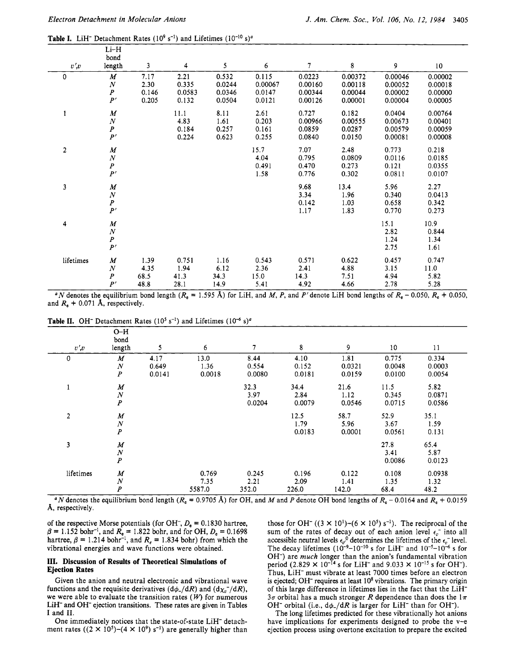$\overline{\mathbf{L}}$ 

**Table I.** LiH<sup>-</sup> Detachment Rates ( $10^9$  s<sup>-1</sup>) and Lifetimes ( $10^{-10}$  s)<sup>a</sup>

| $v\prime v$    | ----<br>bond<br>length                                       | $\mathbf{3}$                   | 4                                | 5                                   | 6                                    | $\tau$                                  | 8                                        | 9                                        | 10                                       |
|----------------|--------------------------------------------------------------|--------------------------------|----------------------------------|-------------------------------------|--------------------------------------|-----------------------------------------|------------------------------------------|------------------------------------------|------------------------------------------|
| $\mathbf 0$    | $\boldsymbol{M}$<br>$\cal N$<br>$\pmb{P}$<br>P'              | 7.17<br>2.30<br>0.146<br>0.205 | 2.21<br>0.335<br>0.0583<br>0.132 | 0.532<br>0.0244<br>0.0346<br>0.0504 | 0.115<br>0.00067<br>0.0147<br>0.0121 | 0.0223<br>0.00160<br>0.00344<br>0.00126 | 0.00372<br>0.00118<br>0.00044<br>0.00001 | 0.00046<br>0.00052<br>0.00002<br>0.00004 | 0.00002<br>0.00018<br>0.00000<br>0.00005 |
| 1              | $\boldsymbol{M}$<br>$\overline{N}$<br>$\boldsymbol{P}$<br>P' |                                | 11.1<br>4.83<br>0.184<br>0.224   | 8.11<br>1.61<br>0.257<br>0.623      | 2.61<br>0.203<br>0.161<br>0.255      | 0.727<br>0.00966<br>0.0859<br>0.0840    | 0.182<br>0.00555<br>0.0287<br>0.0150     | 0.0404<br>0.00673<br>0.00579<br>0.00081  | 0.00764<br>0.00401<br>0.00059<br>0.00008 |
| $\overline{c}$ | $\boldsymbol{M}$<br>$\overline{N}$<br>$\boldsymbol{P}$<br>P' |                                |                                  |                                     | 15.7<br>4.04<br>0.491<br>1.58        | 7.07<br>0.795<br>0.470<br>0.776         | 2.48<br>0.0809<br>0.273<br>0.302         | 0.773<br>0.0116<br>0.121<br>0.0811       | 0.218<br>0.0185<br>0.0355<br>0.0107      |
| 3              | $\boldsymbol{M}$<br>$\cal N$<br>$\overline{P}$<br>P'         |                                |                                  |                                     |                                      | 9.68<br>3.34<br>0.142<br>1.17           | 13.4<br>1.96<br>1.03<br>1.83             | 5.96<br>0.340<br>0.658<br>0.770          | 2.27<br>0.0413<br>0.342<br>0.273         |
| 4              | $\boldsymbol{M}$<br>$\cal N$<br>$\boldsymbol{P}$<br>P'       |                                |                                  |                                     |                                      |                                         |                                          | 15.1<br>2.82<br>1.24<br>2.75             | 10.9<br>0.844<br>1.34<br>1.61            |
| lifetimes      | M<br>$\boldsymbol{N}$<br>$\boldsymbol{P}$<br>P'              | 1.39<br>4.35<br>68.5<br>48.8   | 0.751<br>1.94<br>41.3<br>28.1    | 1.16<br>6.12<br>34.3<br>14.9        | 0.543<br>2.36<br>15.0<br>5.41        | 0.571<br>2.41<br>14.3<br>4.92           | 0.622<br>4.88<br>7.51<br>4.66            | 0.457<br>3.15<br>4.94<br>2.78            | 0.747<br>11.0<br>5.82<br>5.28            |

<sup>a</sup>N denotes the equilibrium bond length ( $R_e = 1.595$  Å) for LiH, and M, P, and P' denote LiH bond lengths of  $R_e - 0.050$ ,  $R_e + 0.050$ , and  $R_e$  + 0.071 Å, respectively.

**Table II.** OH<sup>-</sup> Detachment Rates ( $10^5$  s<sup>-1</sup>) and Lifetimes ( $10^{-6}$  s)<sup>a</sup>

| $v\prime v$    | $O-H$<br>bond<br>length                                  | 5                       | 6                       | 7                       | 8                       | 9                        | 10                        | 11                        |
|----------------|----------------------------------------------------------|-------------------------|-------------------------|-------------------------|-------------------------|--------------------------|---------------------------|---------------------------|
| $\mathbf 0$    | $\boldsymbol{M}$<br>$\boldsymbol{N}$<br>$\boldsymbol{P}$ | 4.17<br>0.649<br>0.0141 | 13.0<br>1.36<br>0.0018  | 8.44<br>0.554<br>0.0080 | 4.10<br>0.152<br>0.0181 | 1.81<br>0.0321<br>0.0159 | 0.775<br>0.0048<br>0.0100 | 0.334<br>0.0003<br>0.0054 |
| 1              | $\boldsymbol{M}$<br>$\boldsymbol{N}$<br>$\boldsymbol{P}$ |                         |                         | 32.3<br>3.97<br>0.0204  | 34.4<br>2.84<br>0.0079  | 21.6<br>1.12<br>0.0546   | 11.5<br>0.345<br>0.0715   | 5.82<br>0.0871<br>0.0586  |
| $\overline{2}$ | $\boldsymbol{M}$<br>$\boldsymbol{N}$<br>$\boldsymbol{P}$ |                         |                         |                         | 12.5<br>1.79<br>0.0183  | 58.7<br>5.96<br>0.0001   | 52.9<br>3.67<br>0.0561    | 35.1<br>1.59<br>0.131     |
| 3              | $\boldsymbol{M}$<br>$\frac{N}{P}$                        |                         |                         |                         |                         |                          | 27.8<br>3.41<br>0.0086    | 65.4<br>5.87<br>0.0123    |
| lifetimes      | $\boldsymbol{M}$<br>$\boldsymbol{N}$<br>$\boldsymbol{P}$ |                         | 0.769<br>7.35<br>5587.0 | 0.245<br>2.21<br>352.0  | 0.196<br>2.09<br>226.0  | 0.122<br>1.41<br>142.0   | 0.108<br>1.35<br>68.4     | 0.0938<br>1.32<br>48.2    |

<sup>n</sup> *N* denotes the equilibrium bond length  $(R_e = 0.9705 \text{ Å})$  for OH, and *M* and *P* denote OH bond lengths of  $R_e - 0.0164$  and  $R_e + 0.0159$ **A,** respectively.

of the respective Morse potentials (for OH<sup>-</sup>,  $D_e = 0.1830$  hartree,  $\beta$  = 1.152 bohr<sup>-1</sup>, and  $R_e$  = 1.822 bohr, and for OH,  $D_e$  = 0.1698 hartree,  $\beta = 1.214$  bohr<sup>-1</sup>, and  $R_e = 1.834$  bohr) from which the vibrational energies and wave functions were obtained.

#### **111. Discussion of Results of Theoretical Simulations of Ejection Rates**

Given the anion and neutral electronic and vibrational wave functions and the requisite derivatives  $(d\phi_{-}/dR)$  and  $(d\chi_{v}^{-}/dR)$ , we were able to evaluate the transition rates  $(W)$  for numerous LiH- and OH- ejection transitions. These rates are given in Tables **I** and **11.** 

One immediately notices that the state-of-state LiH<sup>-</sup> detachment rates  $((2 \times 10^5)$ - $(4 \times 10^9)$  s<sup>-1</sup>) are generally higher than those for OH<sup>-</sup> ((3  $\times$  10<sup>1</sup>)-(6  $\times$  10<sup>5</sup>) s<sup>-1</sup>). The reciprocal of the sum of the rates of decay out of each anion level  $\epsilon_{r}$  into all accessible neutral levels  $\epsilon_{ij}^0$  determines the lifetimes of the  $\epsilon_{ij}^-$  level. The decay lifetimes  $(10^{-9}-10^{-10} \text{ s} \text{ for LiH}^{-} \text{ and } 10^{-5}-10^{-6} \text{ s} \text{ for }$ OH-) are *much* longer than the anion's fundamental vibration period  $(2.829 \times 10^{-14} \text{ s} \text{ for LiH}^{-} \text{ and } 9.033 \times 10^{-15} \text{ s for OH}^{-}).$ Thus, LiH- must vibrate at least 7000 times before an electron is ejected; OH<sup>-</sup> requires at least  $10<sup>8</sup>$  vibrations. The primary origin of this large difference in lifetimes lies in the fact that the LiH- $3\sigma$  orbital has a much stronger R dependence than does the  $1\pi$ OH<sup>-</sup> orbital (i.e.,  $d\phi_{-}/dR$  is larger for LiH<sup>-</sup> than for OH<sup>-</sup>).

The long lifetimes predicted for these vibrationally hot anions have implications for experiments designed to probe the v-e ejection process using overtone excitation to prepare the excited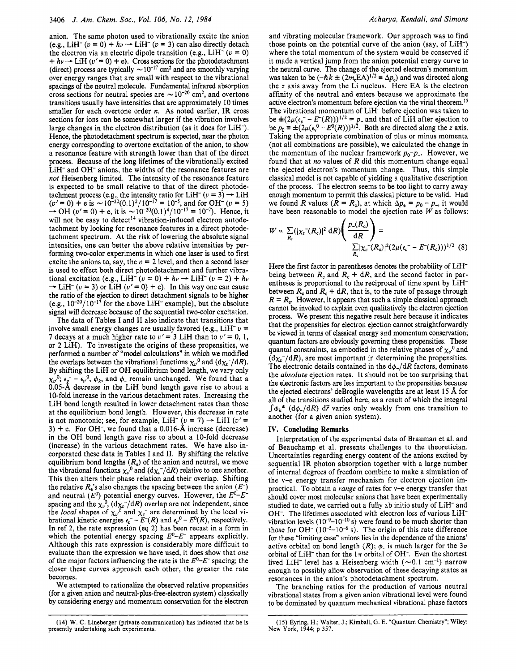anion, The same photon used to vibrationally excite the anion anion. The same photon used to vibrationally excite the anion (e.g., LiH<sup>-</sup>  $(v = 0) + hv \rightarrow LiH^{-}(v = 3)$  can also directly detach the electron via an electric dinele transition (e.g., LiH<sup>-</sup>  $(v = 0)$ ) (e.g., LiH<sup>-</sup>  $(v = 0) + hv \rightarrow LH^{-}$   $(v = 3)$  can also directly detach<br>the electron via an electric dipole transition (e.g., LiH<sup>-</sup>  $(v = 0)$ )<br> $+ hv \rightarrow LH^{0}$   $(v' = 0) + e$ ). Cross sections for the photodetachment  $+h\nu \rightarrow L iH$  ( $\nu' = 0$ ) + e). Cross sections for the photodetachment (direct) process are typically  $\sim 10^{-17}$  cm<sup>2</sup> and are smoothly varying over energy ranges that are small with respect to the vibrational spacings of the neutral molecule. Fundamental infrared absorption cross sections for neutral species are  $\sim 10^{-20}$  cm<sup>2</sup>, and overtone transitions usually have intensities that are approximately 10 times smaller for each overtone order *n.* As noted earlier, IR cross sections for ions can be somewhat larger if the vibration involves large changes in the electron distribution (as it does for LiH-). Hence, the photodetachment spectrum is expected, near the photon energy corresponding to overtone excitation of the anion, to show a resonance feature with strength lower than that of the direct process. Because of the long lifetimes of the vibrationally excited LiH<sup>-</sup> and OH<sup>-</sup> anions, the widths of the resonance features are *not* Heisenberg limited. The intensity of the resonance feature is expected to be small relative to that of the direct photodetachment process (e.g., the intensity ratio for LiH<sup>-</sup>  $(v = 3) \rightarrow$  LiH  $(v' = 0) + e$  is  $\sim 10^{-20}(0.1)^2/10^{-17} = 10^{-5}$ , and for OH<sup>-</sup>  $(v = 5)$ <br>  $\rightarrow$  OH  $(v' = 0) + e$ , it is  $\sim 10^{-20}(0.1)^4/10^{-17} = 10^{-7}$ ). Hence, it will not be easy to detect<sup>14</sup> vibration-induced electron autodetachment by looking for resonance features in a direct photodetachment spectrum. At the risk of lowering the absolute signal intensities, one can better the above relative intensities by performing two-color experiments in which one laser is used to first excite the anions to, say, the  $v = 2$  level, and then a second laser is used to effect both direct photodetachment and further vibrational excitation (e.g., LiH<sup>-</sup>  $(v = 0) + hv \rightarrow$  LiH<sup>-</sup>  $(v = 2) + hv \rightarrow$  LiH<sup>-</sup>  $(v = 3)$  or LiH  $(v' = 0) + e$ ). In this way one can cause the ratio of the ejection to direct detachment signals to be higher (e.g.,  $10^{-20}/10^{-17}$  for the above LiH<sup>-</sup> example), but the absolute signal will decrease because of the sequential two-color excitation.

The data of Tables I and I1 also indicate that transitions that involve small energy changes are usually favored (e.g.,  $LiH^- v =$ **7** decays at a much higher rate to  $v' = 3$  LiH than to  $v' = 0, 1$ , or **2** LiH). To investigate the origins of these propensities, we performed a number of 'model calculations" in which we modified the overlaps between the vibrational functions  $\chi_{\nu}^{0}$  and  $(d\chi_{\nu})/dR$ . By shifting the LiH or OH equilibrium bond length, we vary only By similarly the LIT of OT equinorially bond length, we vary only  $\chi_{v'}^{0}$ ,  $\epsilon_{\bar{k}} = -\epsilon_{v'}^{0}$ ,  $\phi_k$ , and  $\phi$ <sub>-</sub> remain unchanged. We found that a **0.05-A** decrease in the LiH bond length gave rise to about a 10-fold increase in the various detachment rates. Increasing the LiH bond length resulted in lower detachment rates than those at the equilibrium bond length. However, this decrease in rate is not monotonic; see, for example, LiH<sup>-</sup>  $(v = 7)$   $\rightarrow$  LiH  $(v' =$ 3)  $+$  e. For OH<sup>-</sup>, we found that a 0.016- $\AA$  increase (decrease) in the OH bond length gave rise to about a 10-fold decrease (increase) in the various detachment rates. We have also incorporated these data in Tables I and 11. By shifting the relative equilibrium bond lengths  $(R_e)$  of the anion and neutral, we move the vibrational functions  $\chi_{\nu}{}^0$  and  $(d\chi_{\nu}{}^-/dR)$  relative to one another. This then alters their phase relation and their overlap. Shifting the relative  $R_e$ 's also changes the spacing between the anion  $(E^-)$ and neutral  $(E^0)$  potential energy curves. However, the  $E^0 - E^$ spacing and the  $\chi_v^0$ ,  $(d\chi_v^-/dR)$  overlap are not independent, since the *local* shapes of  $\chi_{\nu}^0$  and  $\chi_{\nu}^-$  are determined by the local vibrational kinetic energies  $\epsilon_{\nu}^-$  –  $E^-(R)$  and  $\epsilon_{\nu}^0$  –  $E^0(R)$ , respectively. In ref **2,** the rate expression (eq **2)** has been recast in a form in which the potential energy spacing  $E^0 - E^-$  appears explicitly. Although this rate expression is considerably more difficult to evaluate than the expression we have used, it does show that *one*  of the major factors influencing the rate is the  $E^{0}-E^{-}$  spacing; the closer these curves approach each other, the greater the rate becomes.

We attempted to rationalize the observed relative propensities (for a given anion and neutral-plus-free-electron system) classically by considering energy and momentum conservation for the electron and vibrating molecular framework. Our approach was to find those points on the potential curve of the anion (say, of  $LiH^-$ ) where the total momentum of the system would be conserved if it made a vertical jump from the anion potential energy curve to the neutral curve. The change of the ejected electron's momentum was taken to be  $(-\hbar k \pm (2m_eEA)^{1/2} \equiv \Delta p_e)$  and was directed along the *z* axis away from the Li nucleus. Here EA is the electron affinity of the neutral and enters because we approximate the active electron's momentum before ejection via the virial theorem.<sup>15</sup> The vibrational momentum of LiH- before ejection was taken to be  $\pm (2\mu(\epsilon_{b}^{-} - E^{-}(R)))^{1/2} = p_{-}$  and that of LiH after ejection to be  $\pm (2\mu(\epsilon_0 - E^0(R)))^{1/2}$ . Both are directed along the *z* axis. Taking the appropriate combination of plus or minus momenta (not all combinations are possible), we calculated the change in the momentum of the nuclear framework  $p_0-p_$ . However, we found that at *no* values of R did this momentum change equal the ejected electron's momentum change. Thus, this simple classical model is not capable of yielding a qualitative description of the process. The electron seems to be too light to carry away enough momentum to permit this classical picture to be valid. Had we found R values  $(R = R_c)$ , at which  $\Delta p_c = p_0 - p_c$ , it would have been reasonable to model the ejection rate *W* as follows:

$$
W \propto \sum_{R_c} (|\chi_v^-(R_c)|^2) dR \left( \frac{p_-(R_c)}{dR} \right) = \frac{\sum_{R_c} |\chi_v^-(R_c)|^2 (2\mu(\epsilon_v^--E^-(R_c)))^{1/2} (8)
$$

Here the first factor in parentheses denotes the probability of LiHbeing between  $R_c$  and  $R_c + dR$ , and the second factor in parentheses is proportional to the reciprocal of time spent by LiHbetween  $R_c$  and  $R_c + dR$ , that is, to the rate of passage through  $R = R<sub>c</sub>$ . However, it appears that such a simple classical approach cannot be invoked to explain even qualitatively the electron ejection process. We present this negative result here because it indicates that the propensities for electron ejection cannot straightforwardly be viewed in terms of classical energy and momentum conservation; quantum factors are obviously governing these propensities. These quantal constraints, as embodied in the relative phases of  $\chi_{\nu}^{0}$  and  $(d\chi_{v})/dR$ , are most important in determining the propensities. The electronic details contained in the  $d\phi_{-}/dR$  factors, dominate the *absolute* ejection rates. It should not be too surprising that the electronic factors are less important to the propensities because the ejected electrons' deBroglie wavelengths are at least **15 A** for all of the transitions studied here, as a result of which the integral  $\int \phi_k^*$  (d $\phi$ <sub>-</sub>/dR) d $\vec{r}$  varies only weakly from one transition to another (for a given anion system).

#### **IV. Concluding Remarks**

Interpretation of the experimental data of Brauman et al. and of Beauchamp et al. presents challenges to the theoretician. Uncertainties regarding energy content of the anions excited by sequential IR photon absorption together with a large number of internal degrees of freedom combine to make a simulation of the v-e energy transfer mechanism for electron ejection impractical. To obtain a *range* of rates for v-e energy transfer that should cover most molecular anions that have been experimentally studied to date, we carried out a fully ab initio study of LiH- and OH-. The lifetimes associated with electron loss of various LiHvibration levels (10-9-10-10 **s)** were found to be much shorter than those for OH<sup>-</sup>  $(10^{-5}-10^{-6} s)$ . The origin of this rate difference for these "limiting case" anions lies in the dependence of the anions' active orbital on bond length  $(R)$ ;  $\phi$ <sub>r</sub> is much larger for the  $3\sigma$ orbital of LiH<sup>-</sup> than for the  $1\pi$  orbital of OH<sup>-</sup>. Even the shortest lived LiH<sup>-</sup> level has a Heisenberg width ( $\sim 0.1$  cm<sup>-1</sup>) narrow enough to possibly allow observation of these decaying states as resonances in the anion's photodetachment spectrum.

The branching ratios for the production of various neutral vibrational states from a given anion vibrational level were found to be dominated by quantum mechanical vibrational phase factors

**<sup>(15)</sup> Eyring, H.; Walter, J.; Kimball, G.** E. **"Quantum Chemistry"; Wiley: New York, 1944; p 357.**